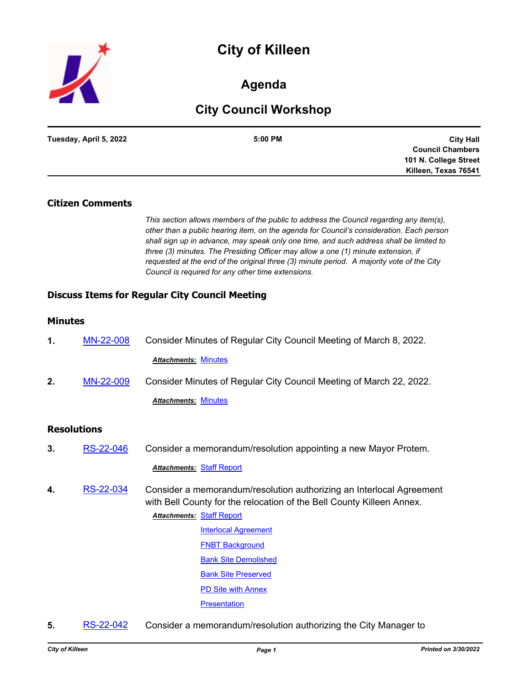# **City of Killeen**



# **Agenda**

# **City Council Workshop**

| Tuesday, April 5, 2022 | 5:00 PM | <b>City Hall</b>        |
|------------------------|---------|-------------------------|
|                        |         | <b>Council Chambers</b> |
|                        |         | 101 N. College Street   |
|                        |         | Killeen, Texas 76541    |

#### **Citizen Comments**

*This section allows members of the public to address the Council regarding any item(s), other than a public hearing item, on the agenda for Council's consideration. Each person shall sign up in advance, may speak only one time, and such address shall be limited to three (3) minutes. The Presiding Officer may allow a one (1) minute extension, if requested at the end of the original three (3) minute period. A majority vote of the City Council is required for any other time extensions.*

## **Discuss Items for Regular City Council Meeting**

#### **Minutes**

|  | MN-22-008 | Consider Minutes of Regular City Council Meeting of March 8, 2022. |
|--|-----------|--------------------------------------------------------------------|
|  |           | <b>Attachments: Minutes</b>                                        |

**2.** [MN-22-009](http://killeen.legistar.com/gateway.aspx?m=l&id=/matter.aspx?key=6066) Consider Minutes of Regular City Council Meeting of March 22, 2022.

*Attachments:* [Minutes](http://killeen.legistar.com/gateway.aspx?M=F&ID=82fb3797-e589-4aee-b8f2-55c9cbfd894c.pdf)

#### **Resolutions**

**3.** [RS-22-046](http://killeen.legistar.com/gateway.aspx?m=l&id=/matter.aspx?key=6063) Consider a memorandum/resolution appointing a new Mayor Protem.

*Attachments:* [Staff Report](http://killeen.legistar.com/gateway.aspx?M=F&ID=01ce8e3e-ec1a-4982-a35f-bf5c8d1a1d3a.pdf)

**4.** [RS-22-034](http://killeen.legistar.com/gateway.aspx?m=l&id=/matter.aspx?key=5995) Consider a memorandum/resolution authorizing an Interlocal Agreement with Bell County for the relocation of the Bell County Killeen Annex.

#### **Attachments: [Staff Report](http://killeen.legistar.com/gateway.aspx?M=F&ID=486d5ca9-f40f-4862-ab45-6a67f7df46c7.pdf)**

- **[Interlocal Agreement](http://killeen.legistar.com/gateway.aspx?M=F&ID=ab2075f3-627d-46e6-bb93-46d577950ad8.pdf) [FNBT Background](http://killeen.legistar.com/gateway.aspx?M=F&ID=9e4b57d9-e1e9-4ebd-9cb7-91a0f5aa724f.pdf)** [Bank Site Demolished](http://killeen.legistar.com/gateway.aspx?M=F&ID=aa1cc7e5-bec7-4d7a-8628-85da33f1045d.pdf) [Bank Site Preserved](http://killeen.legistar.com/gateway.aspx?M=F&ID=47a32487-f916-416f-9de8-e7bb3fb286de.pdf) [PD Site with Annex](http://killeen.legistar.com/gateway.aspx?M=F&ID=f9a83348-4c2f-4ad8-8ccc-108039612e51.pdf) **[Presentation](http://killeen.legistar.com/gateway.aspx?M=F&ID=eb913b71-f2fa-476d-ae54-023492e4e43c.pdf)**
- **5.** [RS-22-042](http://killeen.legistar.com/gateway.aspx?m=l&id=/matter.aspx?key=6025) Consider a memorandum/resolution authorizing the City Manager to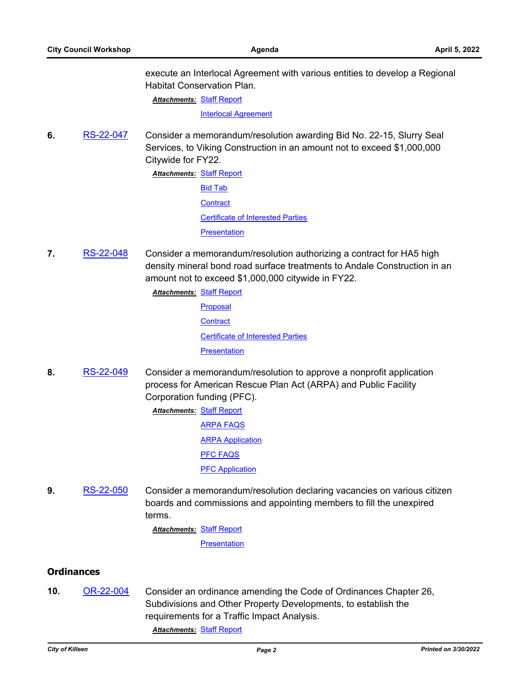execute an Interlocal Agreement with various entities to develop a Regional Habitat Conservation Plan.

**Attachments: [Staff Report](http://killeen.legistar.com/gateway.aspx?M=F&ID=c17f9081-4bd2-4b02-b84d-c41b01f58360.pdf)** 

[Interlocal Agreement](http://killeen.legistar.com/gateway.aspx?M=F&ID=fd6e866d-4dd7-495d-8d71-a330d31c4d8c.pdf)

**6.** [RS-22-047](http://killeen.legistar.com/gateway.aspx?m=l&id=/matter.aspx?key=5970) Consider a memorandum/resolution awarding Bid No. 22-15, Slurry Seal Services, to Viking Construction in an amount not to exceed \$1,000,000 Citywide for FY22.

> **Attachments: [Staff Report](http://killeen.legistar.com/gateway.aspx?M=F&ID=a7aa4f56-3fc2-4026-831b-8b3d83b3d2df.pdf)** [Bid Tab](http://killeen.legistar.com/gateway.aspx?M=F&ID=3c0c07b5-68f1-4775-9fa5-0fe383af9c04.pdf) **[Contract](http://killeen.legistar.com/gateway.aspx?M=F&ID=dfd4e632-6897-45e8-8286-d3f58deabe4f.pdf)** [Certificate of Interested Parties](http://killeen.legistar.com/gateway.aspx?M=F&ID=6c1ed693-68fb-4815-a25b-8a68553fbaaf.pdf) **[Presentation](http://killeen.legistar.com/gateway.aspx?M=F&ID=c2a94c63-2788-4373-b330-714b202cd0e0.pdf)**

**7.** [RS-22-048](http://killeen.legistar.com/gateway.aspx?m=l&id=/matter.aspx?key=6014) Consider a memorandum/resolution authorizing a contract for HA5 high density mineral bond road surface treatments to Andale Construction in an amount not to exceed \$1,000,000 citywide in FY22.

> [Staff Report](http://killeen.legistar.com/gateway.aspx?M=F&ID=c77eba20-0793-4640-9df4-cbd17ed03e32.pdf) *Attachments:* [Proposal](http://killeen.legistar.com/gateway.aspx?M=F&ID=251d17b7-654f-4ce1-880a-c10e222588ce.pdf) **[Contract](http://killeen.legistar.com/gateway.aspx?M=F&ID=23062ccd-effc-46c8-9d6a-70ae093f2e7f.pdf)** [Certificate of Interested Parties](http://killeen.legistar.com/gateway.aspx?M=F&ID=c47866f4-285a-48ac-8f24-6e26f824e4c7.pdf) **[Presentation](http://killeen.legistar.com/gateway.aspx?M=F&ID=75778789-7975-4d9b-b3aa-a55cb7c52713.pdf)**

**8.** [RS-22-049](http://killeen.legistar.com/gateway.aspx?m=l&id=/matter.aspx?key=6067) Consider a memorandum/resolution to approve a nonprofit application process for American Rescue Plan Act (ARPA) and Public Facility Corporation funding (PFC).

> **Attachments: [Staff Report](http://killeen.legistar.com/gateway.aspx?M=F&ID=a7954f37-546a-4a64-b29b-b7df9d48d31c.pdf)** [ARPA FAQS](http://killeen.legistar.com/gateway.aspx?M=F&ID=3ed9bca4-4f1b-4855-89ad-93fbe089192e.pdf) [ARPA Application](http://killeen.legistar.com/gateway.aspx?M=F&ID=6c6d0b8a-09a5-406d-9f93-0be113a50d26.pdf) [PFC FAQS](http://killeen.legistar.com/gateway.aspx?M=F&ID=a489b946-e6a3-4b24-ad0e-0842301b0bba.pdf) [PFC Application](http://killeen.legistar.com/gateway.aspx?M=F&ID=e8f7aa49-f82c-4d42-8b30-372816fdbb76.pdf)

**9.** [RS-22-050](http://killeen.legistar.com/gateway.aspx?m=l&id=/matter.aspx?key=6085) Consider a memorandum/resolution declaring vacancies on various citizen boards and commissions and appointing members to fill the unexpired terms.

**Attachments: [Staff Report](http://killeen.legistar.com/gateway.aspx?M=F&ID=23b6be16-e491-4f09-9f22-849f955743d5.pdf)** 

**[Presentation](http://killeen.legistar.com/gateway.aspx?M=F&ID=deba5069-258a-462a-b364-f5cebcee6063.pdf)** 

## **Ordinances**

**10.** [OR-22-004](http://killeen.legistar.com/gateway.aspx?m=l&id=/matter.aspx?key=5928) Consider an ordinance amending the Code of Ordinances Chapter 26, Subdivisions and Other Property Developments, to establish the requirements for a Traffic Impact Analysis.

*Attachments:* [Staff Report](http://killeen.legistar.com/gateway.aspx?M=F&ID=61eeea71-d4aa-4db7-b6f3-0248ef949408.pdf)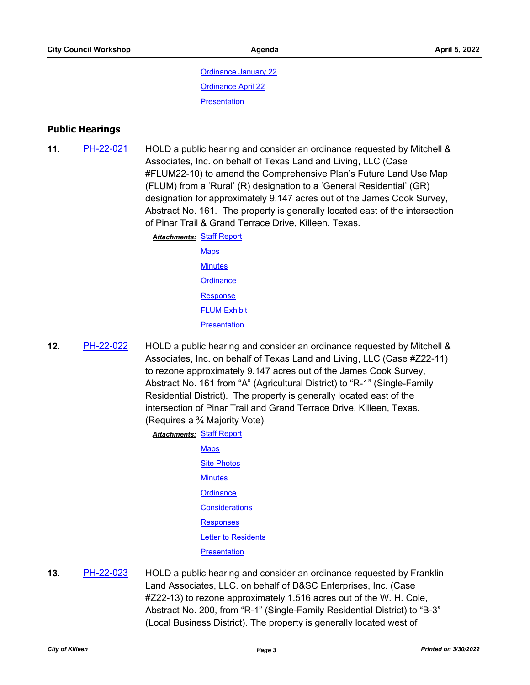[Ordinance January 22](http://killeen.legistar.com/gateway.aspx?M=F&ID=927a431e-3af0-4c65-bd65-33053202c54c.pdf) [Ordinance April 22](http://killeen.legistar.com/gateway.aspx?M=F&ID=3f7e8888-8ae6-4b5d-9a92-11f5af30b45d.pdf) **[Presentation](http://killeen.legistar.com/gateway.aspx?M=F&ID=be44f363-d628-4e07-a5d7-ca97d730dd3a.pdf)** 

## **Public Hearings**

**11.** [PH-22-021](http://killeen.legistar.com/gateway.aspx?m=l&id=/matter.aspx?key=5986) HOLD a public hearing and consider an ordinance requested by Mitchell & Associates, Inc. on behalf of Texas Land and Living, LLC (Case #FLUM22-10) to amend the Comprehensive Plan's Future Land Use Map (FLUM) from a 'Rural' (R) designation to a 'General Residential' (GR) designation for approximately 9.147 acres out of the James Cook Survey, Abstract No. 161. The property is generally located east of the intersection of Pinar Trail & Grand Terrace Drive, Killeen, Texas.

> **Attachments: [Staff Report](http://killeen.legistar.com/gateway.aspx?M=F&ID=a9d65861-00b7-4429-8028-f0d2bbe76bad.pdf)** [Maps](http://killeen.legistar.com/gateway.aspx?M=F&ID=0d930255-b3b0-4e95-98fb-607e6fcb8a0d.pdf) **[Minutes](http://killeen.legistar.com/gateway.aspx?M=F&ID=846bd1f7-cf31-46a5-8765-af203e6fb744.pdf) [Ordinance](http://killeen.legistar.com/gateway.aspx?M=F&ID=aa23b5bd-2862-4389-83be-c0b436bb2781.pdf) [Response](http://killeen.legistar.com/gateway.aspx?M=F&ID=18dccc1f-dfaf-4a5e-9e88-0bffd6d1dc5b.pdf) [FLUM Exhibit](http://killeen.legistar.com/gateway.aspx?M=F&ID=b769914c-84b0-4c6b-8075-9f1a4abaaea5.pdf)**

> > **[Presentation](http://killeen.legistar.com/gateway.aspx?M=F&ID=908f67f8-51e7-4f00-82dc-c08b701bddad.pdf)**

**12.** [PH-22-022](http://killeen.legistar.com/gateway.aspx?m=l&id=/matter.aspx?key=5987) HOLD a public hearing and consider an ordinance requested by Mitchell & Associates, Inc. on behalf of Texas Land and Living, LLC (Case #Z22-11) to rezone approximately 9.147 acres out of the James Cook Survey, Abstract No. 161 from "A" (Agricultural District) to "R-1" (Single-Family Residential District). The property is generally located east of the intersection of Pinar Trail and Grand Terrace Drive, Killeen, Texas. (Requires a ¾ Majority Vote)

**Attachments: [Staff Report](http://killeen.legistar.com/gateway.aspx?M=F&ID=a8d1ce02-c03b-4f44-9a1f-27ec306328f2.pdf)** 

[Maps](http://killeen.legistar.com/gateway.aspx?M=F&ID=eda3de5d-dc83-470f-afa8-0ffb47ab8a3c.pdf) [Site Photos](http://killeen.legistar.com/gateway.aspx?M=F&ID=98f7bbae-81a8-425c-9807-ad1256c70580.pdf) **[Minutes](http://killeen.legistar.com/gateway.aspx?M=F&ID=3007d5a6-944f-4db2-a16f-e065b23017db.pdf) [Ordinance](http://killeen.legistar.com/gateway.aspx?M=F&ID=909c6c66-820a-402c-b3ed-c312eb7e4ffb.pdf) [Considerations](http://killeen.legistar.com/gateway.aspx?M=F&ID=5e27d91e-ed47-4cc4-8244-4ebcd5643bec.pdf) [Responses](http://killeen.legistar.com/gateway.aspx?M=F&ID=42d0841c-82b8-44f4-a298-61ca98313375.pdf)** [Letter to Residents](http://killeen.legistar.com/gateway.aspx?M=F&ID=d1e4fbb6-34ae-4ecb-9140-bea16dadfd59.pdf) **[Presentation](http://killeen.legistar.com/gateway.aspx?M=F&ID=1296691c-b9e3-4720-b24f-95769cb95952.pdf)** 

**13.** [PH-22-023](http://killeen.legistar.com/gateway.aspx?m=l&id=/matter.aspx?key=5990) HOLD a public hearing and consider an ordinance requested by Franklin Land Associates, LLC. on behalf of D&SC Enterprises, Inc. (Case #Z22-13) to rezone approximately 1.516 acres out of the W. H. Cole, Abstract No. 200, from "R-1" (Single-Family Residential District) to "B-3" (Local Business District). The property is generally located west of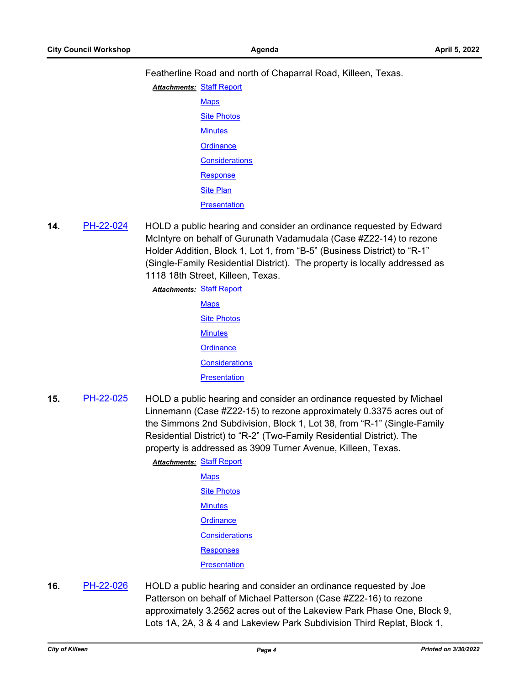Featherline Road and north of Chaparral Road, Killeen, Texas.

- **Attachments: [Staff Report](http://killeen.legistar.com/gateway.aspx?M=F&ID=411465c2-47b8-4157-89cc-28f33a92b53f.pdf) [Maps](http://killeen.legistar.com/gateway.aspx?M=F&ID=c9813db7-8021-4668-a04c-eb12c4d2474d.pdf) [Site Photos](http://killeen.legistar.com/gateway.aspx?M=F&ID=5408d684-a785-4c30-871b-5d89171b704d.pdf) [Minutes](http://killeen.legistar.com/gateway.aspx?M=F&ID=27123036-e1a7-4480-aebd-a215d7a23a7d.pdf) [Ordinance](http://killeen.legistar.com/gateway.aspx?M=F&ID=c806f0c9-c571-4dea-bacb-751562b78c15.pdf) [Considerations](http://killeen.legistar.com/gateway.aspx?M=F&ID=71820f08-a4d3-4f14-87c5-070960efc72c.pdf) [Response](http://killeen.legistar.com/gateway.aspx?M=F&ID=170a0580-1955-4d18-9d76-a2c2971a29ed.pdf)** [Site Plan](http://killeen.legistar.com/gateway.aspx?M=F&ID=0e4731b3-2d77-43a0-99b2-e4438263c133.pdf) **[Presentation](http://killeen.legistar.com/gateway.aspx?M=F&ID=52d4dffb-193b-4e37-a7d5-526af8520105.pdf)**
- **14.** [PH-22-024](http://killeen.legistar.com/gateway.aspx?m=l&id=/matter.aspx?key=5991) HOLD a public hearing and consider an ordinance requested by Edward McIntyre on behalf of Gurunath Vadamudala (Case #Z22-14) to rezone Holder Addition, Block 1, Lot 1, from "B-5" (Business District) to "R-1" (Single-Family Residential District). The property is locally addressed as 1118 18th Street, Killeen, Texas.

**Attachments: [Staff Report](http://killeen.legistar.com/gateway.aspx?M=F&ID=52157410-87b6-4f21-9ebd-b46ffaba0cd6.pdf)** 

**[Maps](http://killeen.legistar.com/gateway.aspx?M=F&ID=34ae54bf-5a94-4bda-a7cf-530ea66c3d25.pdf) [Site Photos](http://killeen.legistar.com/gateway.aspx?M=F&ID=cfacb206-5bd2-4aee-bfd8-bed92879ed18.pdf) [Minutes](http://killeen.legistar.com/gateway.aspx?M=F&ID=3ac39543-0cea-4779-a743-ac2b1d286c4b.pdf) [Ordinance](http://killeen.legistar.com/gateway.aspx?M=F&ID=34ef800b-ad6c-4830-b232-bb9a08b9ee8e.pdf) [Considerations](http://killeen.legistar.com/gateway.aspx?M=F&ID=97729b1b-7687-4e3f-9d32-1b0568119554.pdf) [Presentation](http://killeen.legistar.com/gateway.aspx?M=F&ID=01960cc3-cca9-4eda-b776-fbb5ff849919.pdf)** 

**15.** [PH-22-025](http://killeen.legistar.com/gateway.aspx?m=l&id=/matter.aspx?key=5992) HOLD a public hearing and consider an ordinance requested by Michael Linnemann (Case #Z22-15) to rezone approximately 0.3375 acres out of the Simmons 2nd Subdivision, Block 1, Lot 38, from "R-1" (Single-Family Residential District) to "R-2" (Two-Family Residential District). The property is addressed as 3909 Turner Avenue, Killeen, Texas.

**Attachments: [Staff Report](http://killeen.legistar.com/gateway.aspx?M=F&ID=836a4587-8ddd-4eff-a4a3-2e016fd15906.pdf)** 

**[Maps](http://killeen.legistar.com/gateway.aspx?M=F&ID=240b0677-d373-42ba-bb14-b112bda212b9.pdf)** [Site Photos](http://killeen.legistar.com/gateway.aspx?M=F&ID=4cefc3d0-6234-4bc2-a863-ac7b7708f409.pdf) **[Minutes](http://killeen.legistar.com/gateway.aspx?M=F&ID=3f766edc-3930-49de-a18c-c16e721c5bbd.pdf) [Ordinance](http://killeen.legistar.com/gateway.aspx?M=F&ID=73bf17fd-ac7c-48bd-9d39-73c45145a107.pdf) [Considerations](http://killeen.legistar.com/gateway.aspx?M=F&ID=2f3a4cea-0d7c-4c49-9fa4-f0c8b4720399.pdf)** [Responses](http://killeen.legistar.com/gateway.aspx?M=F&ID=3998de4a-e115-4232-85ea-0e159d91dde5.pdf) **[Presentation](http://killeen.legistar.com/gateway.aspx?M=F&ID=947210be-7743-4523-821c-33f2807412ad.pdf)** 

**16.** [PH-22-026](http://killeen.legistar.com/gateway.aspx?m=l&id=/matter.aspx?key=5993) HOLD a public hearing and consider an ordinance requested by Joe Patterson on behalf of Michael Patterson (Case #Z22-16) to rezone approximately 3.2562 acres out of the Lakeview Park Phase One, Block 9, Lots 1A, 2A, 3 & 4 and Lakeview Park Subdivision Third Replat, Block 1,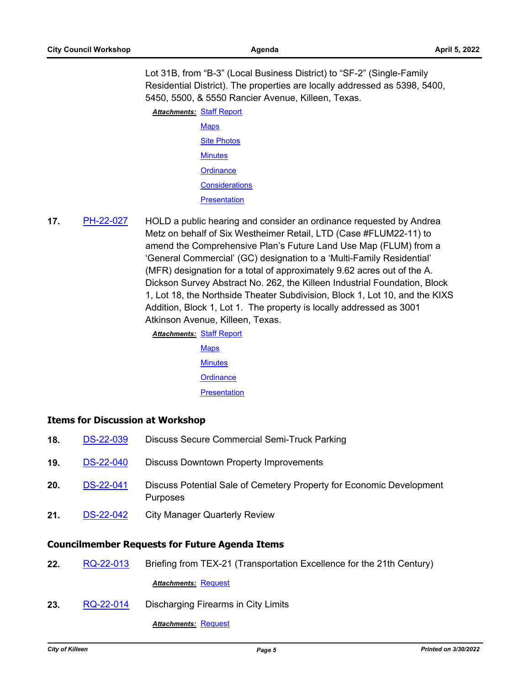Lot 31B, from "B-3" (Local Business District) to "SF-2" (Single-Family

Residential District). The properties are locally addressed as 5398, 5400, 5450, 5500, & 5550 Rancier Avenue, Killeen, Texas.

**Attachments: [Staff Report](http://killeen.legistar.com/gateway.aspx?M=F&ID=ccf97eb4-ee5b-4126-b3c9-4da7a8d8b0af.pdf) [Maps](http://killeen.legistar.com/gateway.aspx?M=F&ID=955174bc-0857-4c71-b4fc-d1fd063b9e89.pdf) [Site Photos](http://killeen.legistar.com/gateway.aspx?M=F&ID=ecb61fea-ed87-4c58-b68b-df16f5ccb54b.pdf) [Minutes](http://killeen.legistar.com/gateway.aspx?M=F&ID=adfa0b44-f349-464f-a780-6d77aa3013c1.pdf) [Ordinance](http://killeen.legistar.com/gateway.aspx?M=F&ID=75192a43-6ac7-4daa-9132-03f0e028464a.pdf) [Considerations](http://killeen.legistar.com/gateway.aspx?M=F&ID=d90a1a8d-84a5-4dc9-8a42-f426fa1451e0.pdf)** 

**[Presentation](http://killeen.legistar.com/gateway.aspx?M=F&ID=e308f0f7-524e-4b26-9cd6-295cb71e6b1a.pdf)** 

**17.** [PH-22-027](http://killeen.legistar.com/gateway.aspx?m=l&id=/matter.aspx?key=5988) HOLD a public hearing and consider an ordinance requested by Andrea Metz on behalf of Six Westheimer Retail, LTD (Case #FLUM22-11) to amend the Comprehensive Plan's Future Land Use Map (FLUM) from a 'General Commercial' (GC) designation to a 'Multi-Family Residential' (MFR) designation for a total of approximately 9.62 acres out of the A. Dickson Survey Abstract No. 262, the Killeen Industrial Foundation, Block 1, Lot 18, the Northside Theater Subdivision, Block 1, Lot 10, and the KIXS Addition, Block 1, Lot 1. The property is locally addressed as 3001 Atkinson Avenue, Killeen, Texas.

> [Staff Report](http://killeen.legistar.com/gateway.aspx?M=F&ID=a4ff1cf8-e441-4061-aca9-65533d7aa25d.pdf) *Attachments:* [Maps](http://killeen.legistar.com/gateway.aspx?M=F&ID=0bf78e89-7de1-4a56-9632-5b0c13474b67.pdf) **[Minutes](http://killeen.legistar.com/gateway.aspx?M=F&ID=9c4a2486-a7ea-4888-82f1-ecaece3343b3.pdf) [Ordinance](http://killeen.legistar.com/gateway.aspx?M=F&ID=69644566-1bbe-4194-94ed-26eee1d3c7d6.pdf) [Presentation](http://killeen.legistar.com/gateway.aspx?M=F&ID=848f1172-bd64-45c7-8998-e303b92693e6.pdf)**

## **Items for Discussion at Workshop**

- **18.** [DS-22-039](http://killeen.legistar.com/gateway.aspx?m=l&id=/matter.aspx?key=6055) Discuss Secure Commercial Semi-Truck Parking **19.** [DS-22-040](http://killeen.legistar.com/gateway.aspx?m=l&id=/matter.aspx?key=6065) Discuss Downtown Property Improvements **20.** [DS-22-041](http://killeen.legistar.com/gateway.aspx?m=l&id=/matter.aspx?key=6051) Discuss Potential Sale of Cemetery Property for Economic Development Purposes
- **21.** [DS-22-042](http://killeen.legistar.com/gateway.aspx?m=l&id=/matter.aspx?key=5980) City Manager Quarterly Review

# **Councilmember Requests for Future Agenda Items**

**22.** [RQ-22-013](http://killeen.legistar.com/gateway.aspx?m=l&id=/matter.aspx?key=6033) Briefing from TEX-21 (Transportation Excellence for the 21th Century)

# *Attachments:* [Request](http://killeen.legistar.com/gateway.aspx?M=F&ID=8967ccae-2225-4852-8eff-21d2cd6f04fb.pdf)

**23.** [RQ-22-014](http://killeen.legistar.com/gateway.aspx?m=l&id=/matter.aspx?key=6036) Discharging Firearms in City Limits

**Attachments: [Request](http://killeen.legistar.com/gateway.aspx?M=F&ID=0d4ba85d-2356-43cc-a55d-4b93f2e62218.pdf)**